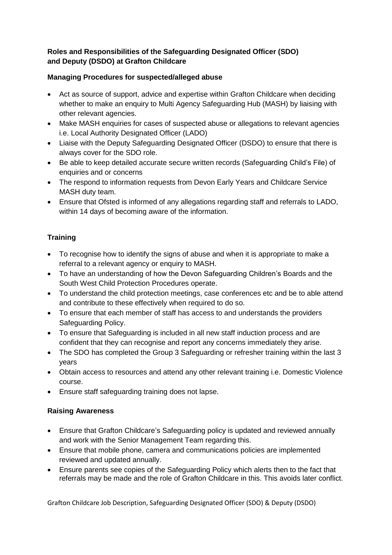# **Roles and Responsibilities of the Safeguarding Designated Officer (SDO) and Deputy (DSDO) at Grafton Childcare**

#### **Managing Procedures for suspected/alleged abuse**

- Act as source of support, advice and expertise within Grafton Childcare when deciding whether to make an enquiry to Multi Agency Safeguarding Hub (MASH) by liaising with other relevant agencies.
- Make MASH enquiries for cases of suspected abuse or allegations to relevant agencies i.e. Local Authority Designated Officer (LADO)
- Liaise with the Deputy Safeguarding Designated Officer (DSDO) to ensure that there is always cover for the SDO role.
- Be able to keep detailed accurate secure written records (Safeguarding Child's File) of enquiries and or concerns
- The respond to information requests from Devon Early Years and Childcare Service MASH duty team.
- Ensure that Ofsted is informed of any allegations regarding staff and referrals to LADO, within 14 days of becoming aware of the information.

# **Training**

- To recognise how to identify the signs of abuse and when it is appropriate to make a referral to a relevant agency or enquiry to MASH.
- To have an understanding of how the Devon Safeguarding Children's Boards and the South West Child Protection Procedures operate.
- To understand the child protection meetings, case conferences etc and be to able attend and contribute to these effectively when required to do so.
- To ensure that each member of staff has access to and understands the providers Safeguarding Policy.
- To ensure that Safeguarding is included in all new staff induction process and are confident that they can recognise and report any concerns immediately they arise.
- The SDO has completed the Group 3 Safeguarding or refresher training within the last 3 years
- Obtain access to resources and attend any other relevant training i.e. Domestic Violence course.
- Ensure staff safeguarding training does not lapse.

# **Raising Awareness**

- Ensure that Grafton Childcare's Safeguarding policy is updated and reviewed annually and work with the Senior Management Team regarding this.
- Ensure that mobile phone, camera and communications policies are implemented reviewed and updated annually.
- Ensure parents see copies of the Safeguarding Policy which alerts then to the fact that referrals may be made and the role of Grafton Childcare in this. This avoids later conflict.

Grafton Childcare Job Description, Safeguarding Designated Officer (SDO) & Deputy (DSDO)